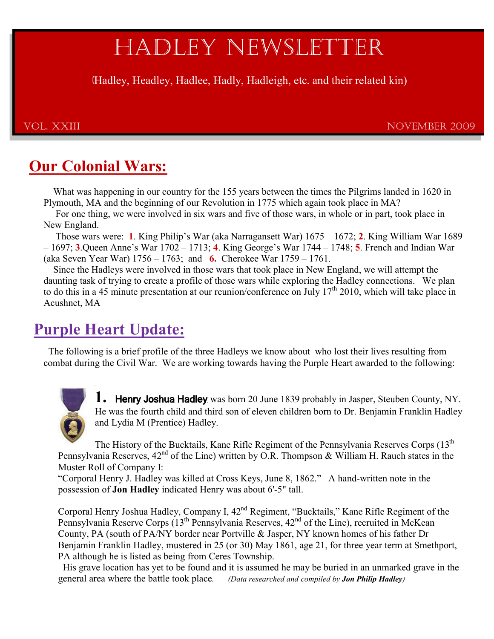# HADLEY NEWSLETTER

(Hadley, Headley, Hadlee, Hadly, Hadleigh, etc. and their related kin)

VOL. XXIII NOVEmbER 2009

# **Our Colonial Wars:**

What was happening in our country for the 155 years between the times the Pilgrims landed in 1620 in Plymouth, MA and the beginning of our Revolution in 1775 which again took place in MA?

 For one thing, we were involved in six wars and five of those wars, in whole or in part, took place in New England.

Those wars were: 1. King Philip's War (aka Narragansett War)  $1675 - 1672$ ; 2. King William War 1689 –  $1697$ ; 3. Queen Anne's War  $1702 - 1713$ ; 4. King George's War  $1744 - 1748$ ; 5. French and Indian War (aka Seven Year War) 1756 – 1763; and **6.** Cherokee War 1759 – 1761.

 Since the Hadleys were involved in those wars that took place in New England, we will attempt the daunting task of trying to create a profile of those wars while exploring the Hadley connections. We plan to do this in a 45 minute presentation at our reunion/conference on July  $17<sup>th</sup>$  2010, which will take place in Acushnet, MA

# **Purple Heart Update:**

 The following is a brief profile of the three Hadleys we know about who lost their lives resulting from combat during the Civil War. We are working towards having the Purple Heart awarded to the following:

**1.** Henry Joshua Hadley was born 20 June 1839 probably in Jasper, Steuben County, NY. He was the fourth child and third son of eleven children born to Dr. Benjamin Franklin Hadley and Lydia M (Prentice) Hadley.

The History of the Bucktails, Kane Rifle Regiment of the Pennsylvania Reserves Corps  $(13<sup>th</sup>$ Pennsylvania Reserves,  $42<sup>nd</sup>$  of the Line) written by O.R. Thompson & William H. Rauch states in the Muster Roll of Company I:

"Corporal Henry J. Hadley was killed at Cross Keys, June 8, 1862." A hand-written note in the possession of **Jon Hadley** indicated Henry was about 6'-5" tall.

Corporal Henry Joshua Hadley, Company I, 42<sup>nd</sup> Regiment, "Bucktails," Kane Rifle Regiment of the Pennsylvania Reserve Corps (13<sup>th</sup> Pennsylvania Reserves, 42<sup>nd</sup> of the Line), recruited in McKean County, PA (south of PA/NY border near Portville & Jasper, NY known homes of his father Dr Benjamin Franklin Hadley, mustered in 25 (or 30) May 1861, age 21, for three year term at Smethport, PA although he is listed as being from Ceres Township.

 His grave location has yet to be found and it is assumed he may be buried in an unmarked grave in the general area where the battle took place. *(Data researched and compiled by Jon Philip Hadley)*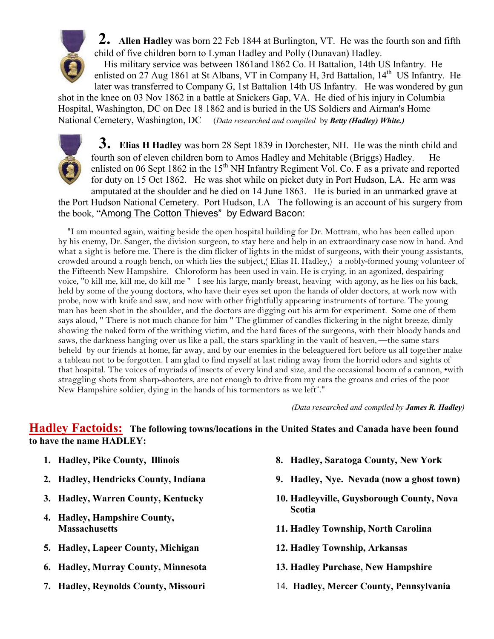

 **2. Allen Hadley** was born 22 Feb 1844 at Burlington, VT. He was the fourth son and fifth child of five children born to Lyman Hadley and Polly (Dunavan) Hadley. His military service was between 1861and 1862 Co. H Battalion, 14th US Infantry. He

enlisted on 27 Aug 1861 at St Albans, VT in Company H, 3rd Battalion, 14<sup>th</sup> US Infantry. He later was transferred to Company G, 1st Battalion 14th US Infantry. He was wondered by gun shot in the knee on 03 Nov 1862 in a battle at Snickers Gap, VA. He died of his injury in Columbia Hospital, Washington, DC on Dec 18 1862 and is buried in the US Soldiers and Airman's Home National Cemetery, Washington, DC (*Data researched and compiled* by *Betty (Hadley) White.)*



 **3. Elias H Hadley** was born 28 Sept 1839 in Dorchester, NH. He was the ninth child and fourth son of eleven children born to Amos Hadley and Mehitable (Briggs) Hadley. He enlisted on 06 Sept 1862 in the  $15<sup>th</sup>$  NH Infantry Regiment Vol. Co. F as a private and reported for duty on 15 Oct 1862. He was shot while on picket duty in Port Hudson, LA. He arm was amputated at the shoulder and he died on 14 June 1863. He is buried in an unmarked grave at

the Port Hudson National Cemetery. Port Hudson, LA The following is an account of his surgery from the book, "Among The Cotton Thieves" by Edward Bacon:

 "I am mounted again, waiting beside the open hospital building for Dr. Mottram, who has been called upon by his enemy, Dr. Sanger, the division surgeon, to stay here and help in an extraordinary case now in hand. And what a sight is before me. There is the dim flicker of lights in the midst of surgeons, with their young assistants, crowded around a rough bench, on which lies the subject,( Elias H. Hadley,) a nobly-formed young volunteer of the Fifteenth New Hampshire. Chloroform has been used in vain. He is crying, in an agonized, despairing voice, "0 kill me, kill me, do kill me " I see his large, manly breast, heaving with agony, as he lies on his back, held by some of the young doctors, who have their eyes set upon the hands of older doctors, at work now with probe, now with knife and saw, and now with other frightfully appearing instruments of torture. The young man has been shot in the shoulder, and the doctors are digging out his arm for experiment. Some one of them says aloud, " There is not much chance for him " The glimmer of candles flickering in the night breeze, dimly showing the naked form of the writhing victim, and the hard faces of the surgeons, with their bloody hands and saws, the darkness hanging over us like a pall, the stars sparkling in the vault of heaven, —the same stars beheld by our friends at home, far away, and by our enemies in the beleaguered fort before us all together make a tableau not to be forgotten. I am glad to find myself at last riding away from the horrid odors and sights of that hospital. The voices of myriads of insects of every kind and size, and the occasional boom of a cannon, •with straggling shots from sharp-shooters, are not enough to drive from my ears the groans and cries of the poor New Hampshire soldier, dying in the hands of his tormentors as we left"."

*(Data researched and compiled by James R. Hadley)*

### **Hadley Factoids: The following towns/locations in the United States and Canada have been found to have the name HADLEY:**

- **1. Hadley, Pike County, Illinois**
- **2. Hadley, Hendricks County, Indiana**
- **3. Hadley, Warren County, Kentucky**
- **4. Hadley, Hampshire County, Massachusetts**
- **5. Hadley, Lapeer County, Michigan**
- **6. Hadley, Murray County, Minnesota**
- **7. Hadley, Reynolds County, Missouri**
- **8. Hadley, Saratoga County, New York**
- **9. Hadley, Nye. Nevada (now a ghost town)**
- **10. Hadleyville, Guysborough County, Nova Scotia**
- **11. Hadley Township, North Carolina**
- **12. Hadley Township, Arkansas**
- **13. Hadley Purchase, New Hampshire**
- 14. **Hadley, Mercer County, Pennsylvania**